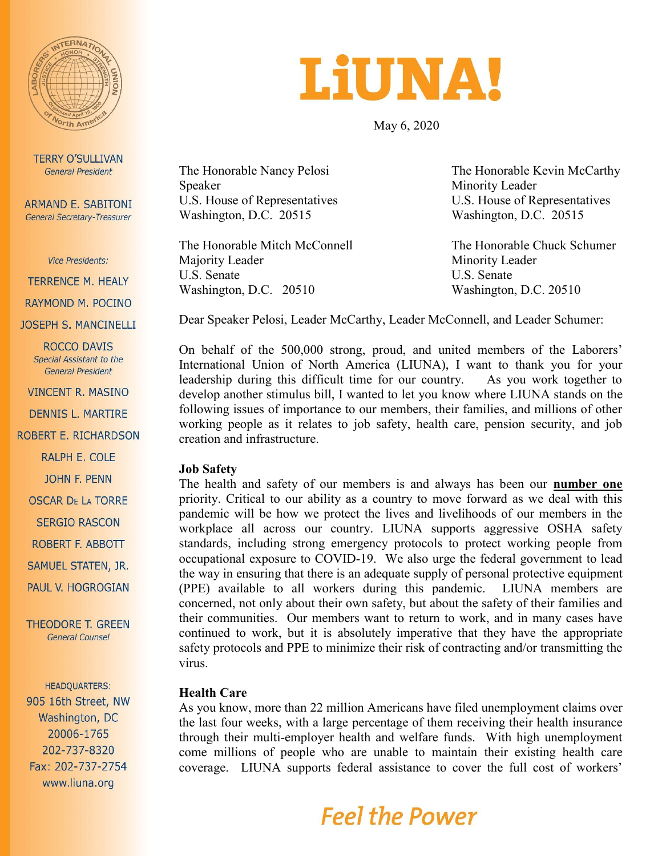

**TERRY O'SULLIVAN General President** 

**ARMAND E. SABITONI** General Secretary-Treasurer

**Vice Presidents:** 

**TERRENCE M. HEALY** 

RAYMOND M. POCINO

**JOSEPH S. MANCINELLI** 

ROCCO DAVIS Special Assistant to the **General President** 

**VINCENT R. MASINO** 

**DENNIS L. MARTIRE** 

ROBERT E. RICHARDSON

RALPH E. COLE

**JOHN F. PENN** 

**OSCAR DE LA TORRE** 

**SERGIO RASCON** 

ROBERT F. ABBOTT

SAMUEL STATEN, JR.

PAUL V. HOGROGIAN

**THEODORE T. GREEN General Counsel** 

**HEADQUARTERS:** 905 16th Street, NW Washington, DC 20006-1765 202-737-8320 Fax: 202-737-2754 www.liuna.org

# **LIUNA!**

May 6, 2020

Speaker Minority Leader Washington, D.C. 20515 Washington, D.C. 20515

The Honorable Mitch McConnell The Honorable Chuck Schumer Majority Leader Minority Leader U.S. Senate U.S. Senate Washington, D.C. 20510 Washington, D.C. 20510

The Honorable Nancy Pelosi The Honorable Kevin McCarthy U.S. House of Representatives U.S. House of Representatives

Dear Speaker Pelosi, Leader McCarthy, Leader McConnell, and Leader Schumer:

On behalf of the 500,000 strong, proud, and united members of the Laborers' International Union of North America (LIUNA), I want to thank you for your leadership during this difficult time for our country. As you work together to develop another stimulus bill, I wanted to let you know where LIUNA stands on the following issues of importance to our members, their families, and millions of other working people as it relates to job safety, health care, pension security, and job creation and infrastructure.

#### **Job Safety**

The health and safety of our members is and always has been our **number one** priority. Critical to our ability as a country to move forward as we deal with this pandemic will be how we protect the lives and livelihoods of our members in the workplace all across our country. LIUNA supports aggressive OSHA safety standards, including strong emergency protocols to protect working people from occupational exposure to COVID-19. We also urge the federal government to lead the way in ensuring that there is an adequate supply of personal protective equipment (PPE) available to all workers during this pandemic. LIUNA members are concerned, not only about their own safety, but about the safety of their families and their communities. Our members want to return to work, and in many cases have continued to work, but it is absolutely imperative that they have the appropriate safety protocols and PPE to minimize their risk of contracting and/or transmitting the virus.

#### **Health Care**

As you know, more than 22 million Americans have filed unemployment claims over the last four weeks, with a large percentage of them receiving their health insurance through their multi-employer health and welfare funds. With high unemployment come millions of people who are unable to maintain their existing health care coverage. LIUNA supports federal assistance to cover the full cost of workers'

# **Feel the Power**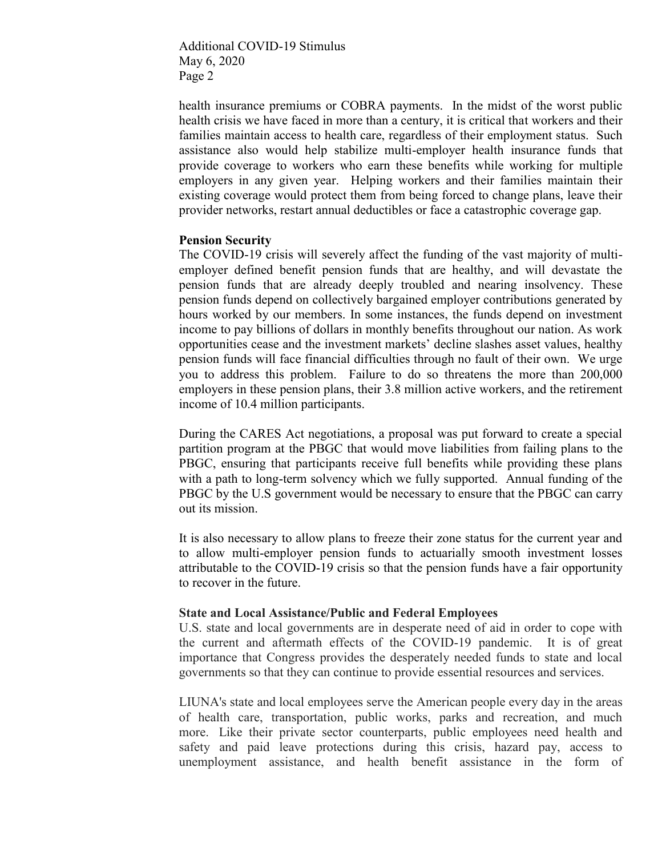Additional COVID-19 Stimulus May 6, 2020 Page 2

health insurance premiums or COBRA payments. In the midst of the worst public health crisis we have faced in more than a century, it is critical that workers and their families maintain access to health care, regardless of their employment status. Such assistance also would help stabilize multi-employer health insurance funds that provide coverage to workers who earn these benefits while working for multiple employers in any given year. Helping workers and their families maintain their existing coverage would protect them from being forced to change plans, leave their provider networks, restart annual deductibles or face a catastrophic coverage gap.

#### **Pension Security**

The COVID-19 crisis will severely affect the funding of the vast majority of multiemployer defined benefit pension funds that are healthy, and will devastate the pension funds that are already deeply troubled and nearing insolvency. These pension funds depend on collectively bargained employer contributions generated by hours worked by our members. In some instances, the funds depend on investment income to pay billions of dollars in monthly benefits throughout our nation. As work opportunities cease and the investment markets' decline slashes asset values, healthy pension funds will face financial difficulties through no fault of their own. We urge you to address this problem. Failure to do so threatens the more than 200,000 employers in these pension plans, their 3.8 million active workers, and the retirement income of 10.4 million participants.

During the CARES Act negotiations, a proposal was put forward to create a special partition program at the PBGC that would move liabilities from failing plans to the PBGC, ensuring that participants receive full benefits while providing these plans with a path to long-term solvency which we fully supported. Annual funding of the PBGC by the U.S government would be necessary to ensure that the PBGC can carry out its mission.

It is also necessary to allow plans to freeze their zone status for the current year and to allow multi-employer pension funds to actuarially smooth investment losses attributable to the COVID-19 crisis so that the pension funds have a fair opportunity to recover in the future.

## **State and Local Assistance/Public and Federal Employees**

U.S. state and local governments are in desperate need of aid in order to cope with the current and aftermath effects of the COVID-19 pandemic. It is of great importance that Congress provides the desperately needed funds to state and local governments so that they can continue to provide essential resources and services.

LIUNA's state and local employees serve the American people every day in the areas of health care, transportation, public works, parks and recreation, and much more. Like their private sector counterparts, public employees need health and safety and paid leave protections during this crisis, hazard pay, access to unemployment assistance, and health benefit assistance in the form of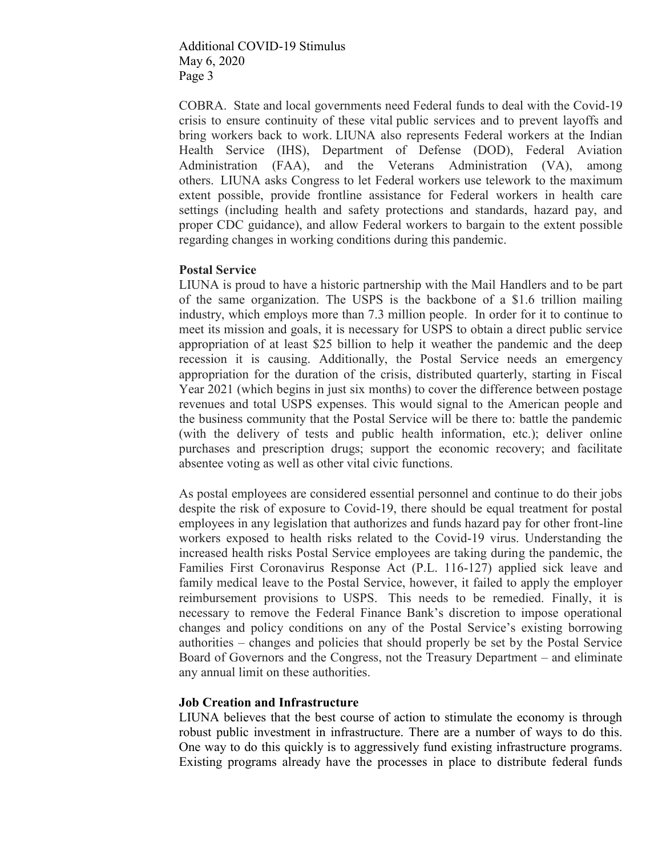Additional COVID-19 Stimulus May 6, 2020 Page 3

COBRA. State and local governments need Federal funds to deal with the Covid-19 crisis to ensure continuity of these vital public services and to prevent layoffs and bring workers back to work. LIUNA also represents Federal workers at the Indian Health Service (IHS), Department of Defense (DOD), Federal Aviation Administration (FAA), and the Veterans Administration (VA), among others. LIUNA asks Congress to let Federal workers use telework to the maximum extent possible, provide frontline assistance for Federal workers in health care settings (including health and safety protections and standards, hazard pay, and proper CDC guidance), and allow Federal workers to bargain to the extent possible regarding changes in working conditions during this pandemic.

## **Postal Service**

LIUNA is proud to have a historic partnership with the Mail Handlers and to be part of the same organization. The USPS is the backbone of a \$1.6 trillion mailing industry, which employs more than 7.3 million people. In order for it to continue to meet its mission and goals, it is necessary for USPS to obtain a direct public service appropriation of at least \$25 billion to help it weather the pandemic and the deep recession it is causing. Additionally, the Postal Service needs an emergency appropriation for the duration of the crisis, distributed quarterly, starting in Fiscal Year 2021 (which begins in just six months) to cover the difference between postage revenues and total USPS expenses. This would signal to the American people and the business community that the Postal Service will be there to: battle the pandemic (with the delivery of tests and public health information, etc.); deliver online purchases and prescription drugs; support the economic recovery; and facilitate absentee voting as well as other vital civic functions.

As postal employees are considered essential personnel and continue to do their jobs despite the risk of exposure to Covid-19, there should be equal treatment for postal employees in any legislation that authorizes and funds hazard pay for other front-line workers exposed to health risks related to the Covid-19 virus. Understanding the increased health risks Postal Service employees are taking during the pandemic, the Families First Coronavirus Response Act (P.L. 116-127) applied sick leave and family medical leave to the Postal Service, however, it failed to apply the employer reimbursement provisions to USPS. This needs to be remedied. Finally, it is necessary to remove the Federal Finance Bank's discretion to impose operational changes and policy conditions on any of the Postal Service's existing borrowing authorities – changes and policies that should properly be set by the Postal Service Board of Governors and the Congress, not the Treasury Department – and eliminate any annual limit on these authorities.

# **Job Creation and Infrastructure**

LIUNA believes that the best course of action to stimulate the economy is through robust public investment in infrastructure. There are a number of ways to do this. One way to do this quickly is to aggressively fund existing infrastructure programs. Existing programs already have the processes in place to distribute federal funds